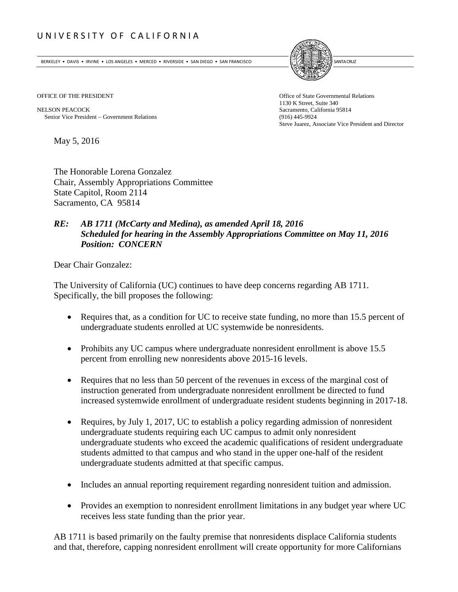# UNIVERSITY OF CALIFORNIA

BERKELEY • DAVIS • IRVINE • LOS ANGELES • MERCED • RIVERSIDE • SAN DIEGO • SAN FRANCISCO SANTA GRUZ SANTA CRUZ



NELSON PEACOCK<br>
Sacramento, California 95814<br>
Senior Vice President – Government Relations<br>
(916) 445-9924 Senior Vice President – Government Relations

OFFICE OF THE PRESIDENT **Office of State Governmental Relations** 1130 K Street, Suite 340 Steve Juarez, Associate Vice President and Director

May 5, 2016

The Honorable Lorena Gonzalez Chair, Assembly Appropriations Committee State Capitol, Room 2114 Sacramento, CA 95814

# *RE: AB 1711 (McCarty and Medina), as amended April 18, 2016 Scheduled for hearing in the Assembly Appropriations Committee on May 11, 2016 Position: CONCERN*

Dear Chair Gonzalez:

The University of California (UC) continues to have deep concerns regarding AB 1711. Specifically, the bill proposes the following:

- Requires that, as a condition for UC to receive state funding, no more than 15.5 percent of undergraduate students enrolled at UC systemwide be nonresidents.
- Prohibits any UC campus where undergraduate nonresident enrollment is above 15.5 percent from enrolling new nonresidents above 2015-16 levels.
- Requires that no less than 50 percent of the revenues in excess of the marginal cost of instruction generated from undergraduate nonresident enrollment be directed to fund increased systemwide enrollment of undergraduate resident students beginning in 2017-18.
- Requires, by July 1, 2017, UC to establish a policy regarding admission of nonresident undergraduate students requiring each UC campus to admit only nonresident undergraduate students who exceed the academic qualifications of resident undergraduate students admitted to that campus and who stand in the upper one-half of the resident undergraduate students admitted at that specific campus.
- Includes an annual reporting requirement regarding nonresident tuition and admission.
- Provides an exemption to nonresident enrollment limitations in any budget year where UC receives less state funding than the prior year.

AB 1711 is based primarily on the faulty premise that nonresidents displace California students and that, therefore, capping nonresident enrollment will create opportunity for more Californians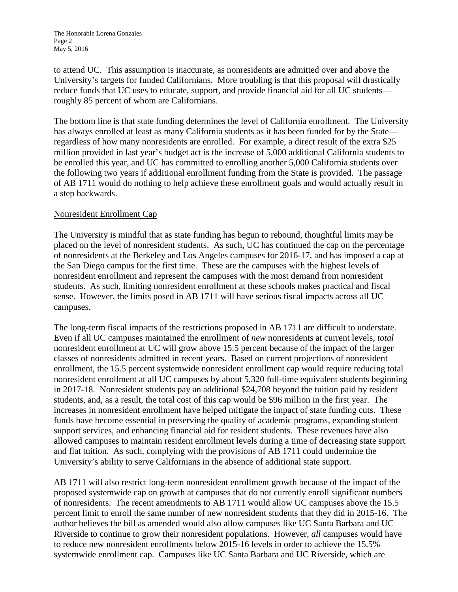to attend UC. This assumption is inaccurate, as nonresidents are admitted over and above the University's targets for funded Californians. More troubling is that this proposal will drastically reduce funds that UC uses to educate, support, and provide financial aid for all UC students roughly 85 percent of whom are Californians.

The bottom line is that state funding determines the level of California enrollment. The University has always enrolled at least as many California students as it has been funded for by the State regardless of how many nonresidents are enrolled. For example, a direct result of the extra \$25 million provided in last year's budget act is the increase of 5,000 additional California students to be enrolled this year, and UC has committed to enrolling another 5,000 California students over the following two years if additional enrollment funding from the State is provided. The passage of AB 1711 would do nothing to help achieve these enrollment goals and would actually result in a step backwards.

### Nonresident Enrollment Cap

The University is mindful that as state funding has begun to rebound, thoughtful limits may be placed on the level of nonresident students. As such, UC has continued the cap on the percentage of nonresidents at the Berkeley and Los Angeles campuses for 2016-17, and has imposed a cap at the San Diego campus for the first time. These are the campuses with the highest levels of nonresident enrollment and represent the campuses with the most demand from nonresident students. As such, limiting nonresident enrollment at these schools makes practical and fiscal sense. However, the limits posed in AB 1711 will have serious fiscal impacts across all UC campuses.

The long-term fiscal impacts of the restrictions proposed in AB 1711 are difficult to understate. Even if all UC campuses maintained the enrollment of *new* nonresidents at current levels, *total* nonresident enrollment at UC will grow above 15.5 percent because of the impact of the larger classes of nonresidents admitted in recent years. Based on current projections of nonresident enrollment, the 15.5 percent systemwide nonresident enrollment cap would require reducing total nonresident enrollment at all UC campuses by about 5,320 full-time equivalent students beginning in 2017-18. Nonresident students pay an additional \$24,708 beyond the tuition paid by resident students, and, as a result, the total cost of this cap would be \$96 million in the first year. The increases in nonresident enrollment have helped mitigate the impact of state funding cuts. These funds have become essential in preserving the quality of academic programs, expanding student support services, and enhancing financial aid for resident students. These revenues have also allowed campuses to maintain resident enrollment levels during a time of decreasing state support and flat tuition. As such, complying with the provisions of AB 1711 could undermine the University's ability to serve Californians in the absence of additional state support.

AB 1711 will also restrict long-term nonresident enrollment growth because of the impact of the proposed systemwide cap on growth at campuses that do not currently enroll significant numbers of nonresidents. The recent amendments to AB 1711 would allow UC campuses above the 15.5 percent limit to enroll the same number of new nonresident students that they did in 2015-16. The author believes the bill as amended would also allow campuses like UC Santa Barbara and UC Riverside to continue to grow their nonresident populations. However, *all* campuses would have to reduce new nonresident enrollments below 2015-16 levels in order to achieve the 15.5% systemwide enrollment cap. Campuses like UC Santa Barbara and UC Riverside, which are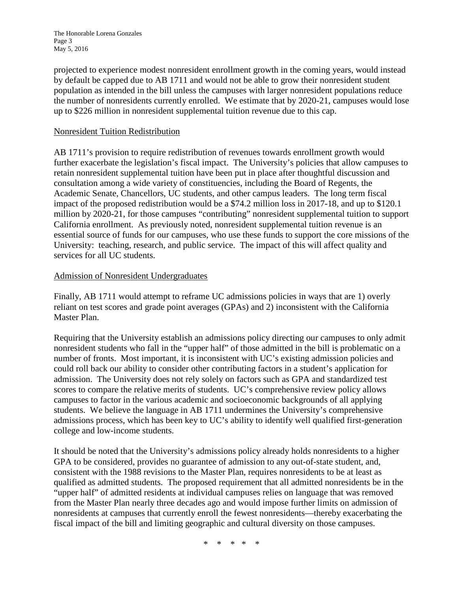The Honorable Lorena Gonzales Page 3 May 5, 2016

projected to experience modest nonresident enrollment growth in the coming years, would instead by default be capped due to AB 1711 and would not be able to grow their nonresident student population as intended in the bill unless the campuses with larger nonresident populations reduce the number of nonresidents currently enrolled. We estimate that by 2020-21, campuses would lose up to \$226 million in nonresident supplemental tuition revenue due to this cap.

### Nonresident Tuition Redistribution

AB 1711's provision to require redistribution of revenues towards enrollment growth would further exacerbate the legislation's fiscal impact. The University's policies that allow campuses to retain nonresident supplemental tuition have been put in place after thoughtful discussion and consultation among a wide variety of constituencies, including the Board of Regents, the Academic Senate, Chancellors, UC students, and other campus leaders. The long term fiscal impact of the proposed redistribution would be a \$74.2 million loss in 2017-18, and up to \$120.1 million by 2020-21, for those campuses "contributing" nonresident supplemental tuition to support California enrollment. As previously noted, nonresident supplemental tuition revenue is an essential source of funds for our campuses, who use these funds to support the core missions of the University: teaching, research, and public service. The impact of this will affect quality and services for all UC students.

#### Admission of Nonresident Undergraduates

Finally, AB 1711 would attempt to reframe UC admissions policies in ways that are 1) overly reliant on test scores and grade point averages (GPAs) and 2) inconsistent with the California Master Plan.

Requiring that the University establish an admissions policy directing our campuses to only admit nonresident students who fall in the "upper half" of those admitted in the bill is problematic on a number of fronts. Most important, it is inconsistent with UC's existing admission policies and could roll back our ability to consider other contributing factors in a student's application for admission. The University does not rely solely on factors such as GPA and standardized test scores to compare the relative merits of students. UC's comprehensive review policy allows campuses to factor in the various academic and socioeconomic backgrounds of all applying students. We believe the language in AB 1711 undermines the University's comprehensive admissions process, which has been key to UC's ability to identify well qualified first-generation college and low-income students.

It should be noted that the University's admissions policy already holds nonresidents to a higher GPA to be considered, provides no guarantee of admission to any out-of-state student, and, consistent with the 1988 revisions to the Master Plan, requires nonresidents to be at least as qualified as admitted students. The proposed requirement that all admitted nonresidents be in the "upper half" of admitted residents at individual campuses relies on language that was removed from the Master Plan nearly three decades ago and would impose further limits on admission of nonresidents at campuses that currently enroll the fewest nonresidents—thereby exacerbating the fiscal impact of the bill and limiting geographic and cultural diversity on those campuses.

\* \* \* \* \*